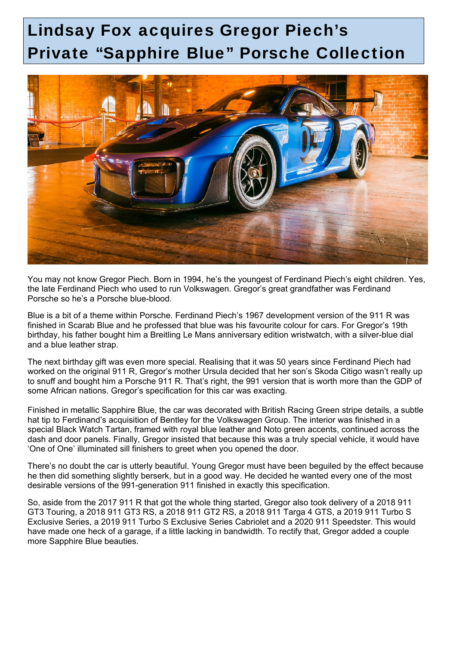## Lindsay Fox acquires Gregor Piech's Private "Sapphire Blue" Porsche Collection



You may not know Gregor Piech. Born in 1994, he's the youngest of Ferdinand Piech's eight children. Yes, the late Ferdinand Piech who used to run Volkswagen. Gregor's great grandfather was Ferdinand Porsche so he's a Porsche blue-blood.

Blue is a bit of a theme within Porsche. Ferdinand Piech's 1967 development version of the 911 R was finished in Scarab Blue and he professed that blue was his favourite colour for cars. For Gregor's 19th birthday, his father bought him a Breitling Le Mans anniversary edition wristwatch, with a silver-blue dial and a blue leather strap.

The next birthday gift was even more special. Realising that it was 50 years since Ferdinand Piech had worked on the original 911 R, Gregor's mother Ursula decided that her son's Skoda Citigo wasn't really up to snuff and bought him a Porsche 911 R. That's right, the 991 version that is worth more than the GDP of some African nations. Gregor's specification for this car was exacting.

Finished in metallic Sapphire Blue, the car was decorated with British Racing Green stripe details, a subtle hat tip to Ferdinand's acquisition of Bentley for the Volkswagen Group. The interior was finished in a special Black Watch Tartan, framed with royal blue leather and Noto green accents, continued across the dash and door panels. Finally, Gregor insisted that because this was a truly special vehicle, it would have 'One of One' illuminated sill finishers to greet when you opened the door.

There's no doubt the car is utterly beautiful. Young Gregor must have been beguiled by the effect because he then did something slightly berserk, but in a good way. He decided he wanted every one of the most desirable versions of the 991-generation 911 finished in exactly this specification.

So, aside from the 2017 911 R that got the whole thing started, Gregor also took delivery of a 2018 911 GT3 Touring, a 2018 911 GT3 RS, a 2018 911 GT2 RS, a 2018 911 Targa 4 GTS, a 2019 911 Turbo S Exclusive Series, a 2019 911 Turbo S Exclusive Series Cabriolet and a 2020 911 Speedster. This would have made one heck of a garage, if a little lacking in bandwidth. To rectify that, Gregor added a couple more Sapphire Blue beauties.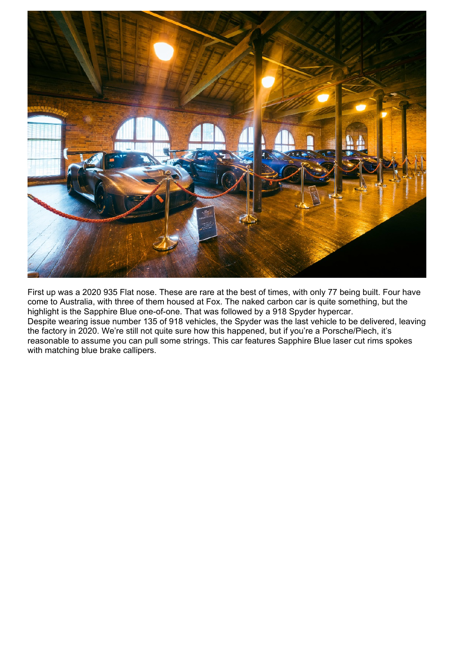

First up was a 2020 935 Flat nose. These are rare at the best of times, with only 77 being built. Four have come to Australia, with three of them housed at Fox. The naked carbon car is quite something, but the highlight is the Sapphire Blue one-of-one. That was followed by a 918 Spyder hypercar. Despite wearing issue number 135 of 918 vehicles, the Spyder was the last vehicle to be delivered, leaving the factory in 2020. We're still not quite sure how this happened, but if you're a Porsche/Piech, it's reasonable to assume you can pull some strings. This car features Sapphire Blue laser cut rims spokes with matching blue brake callipers.